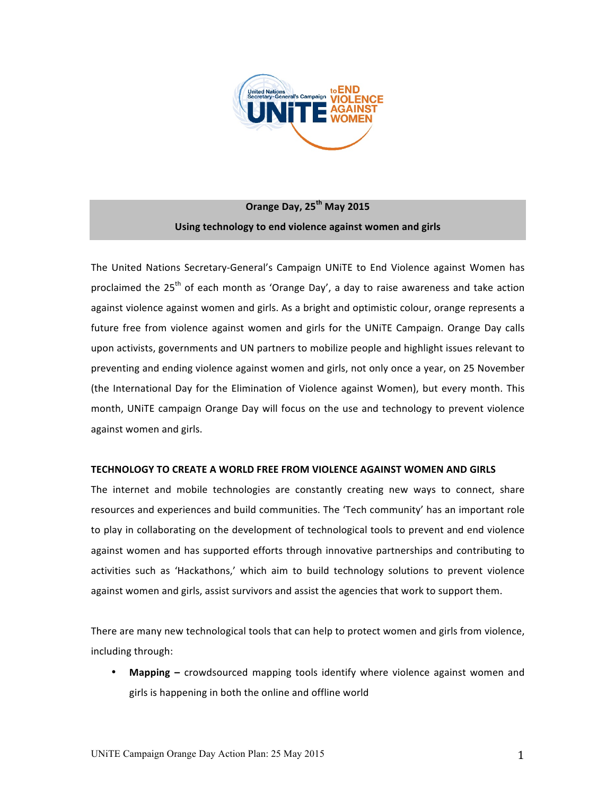

# **Orange'Day,'25th May 2015** Using technology to end violence against women and girls

The United Nations Secretary-General's Campaign UNITE to End Violence against Women has proclaimed the  $25<sup>th</sup>$  of each month as 'Orange Day', a day to raise awareness and take action against violence against women and girls. As a bright and optimistic colour, orange represents a future free from violence against women and girls for the UNITE Campaign. Orange Day calls upon activists, governments and UN partners to mobilize people and highlight issues relevant to preventing and ending violence against women and girls, not only once a year, on 25 November (the International Day for the Elimination of Violence against Women), but every month. This month, UNITE campaign Orange Day will focus on the use and technology to prevent violence against women and girls.

# **TECHNOLOGY'TO'CREATE'A'WORLD'FREE'FROM'VIOLENCE'AGAINST'WOMEN'AND'GIRLS**

The internet and mobile technologies are constantly creating new ways to connect, share resources and experiences and build communities. The 'Tech community' has an important role to play in collaborating on the development of technological tools to prevent and end violence against women and has supported efforts through innovative partnerships and contributing to activities such as 'Hackathons,' which aim to build technology solutions to prevent violence against women and girls, assist survivors and assist the agencies that work to support them.

There are many new technological tools that can help to protect women and girls from violence, including through:

**Mapping** – crowdsourced mapping tools identify where violence against women and girls is happening in both the online and offline world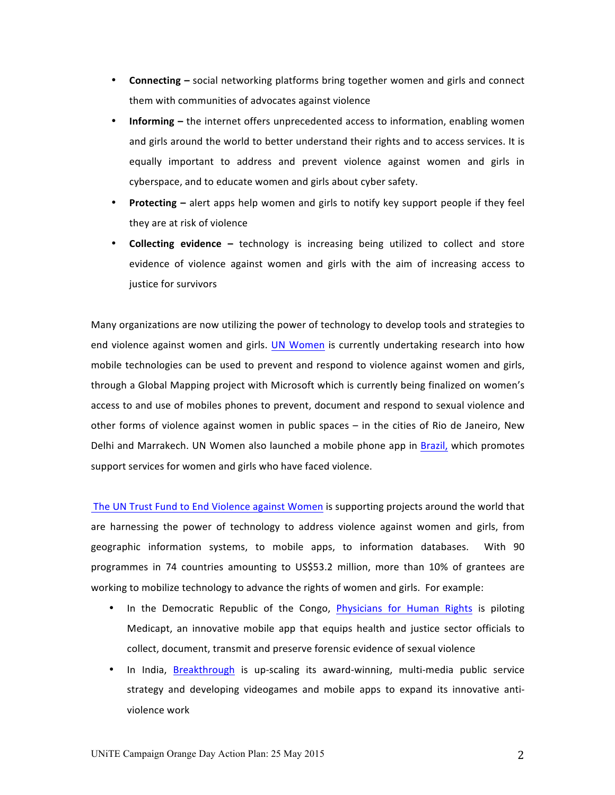- **Connecting** social networking platforms bring together women and girls and connect them with communities of advocates against violence
- **Informing** the internet offers unprecedented access to information, enabling women and girls around the world to better understand their rights and to access services. It is equally important to address and prevent violence against women and girls in cyberspace, and to educate women and girls about cyber safety.
- **Protecting** alert apps help women and girls to notify key support people if they feel they are at risk of violence
- **Collecting evidence –** technology is increasing being utilized to collect and store evidence of violence against women and girls with the aim of increasing access to justice for survivors

Many organizations are now utilizing the power of technology to develop tools and strategies to end violence against women and girls. UN Women is currently undertaking research into how mobile technologies can be used to prevent and respond to violence against women and girls, through a Global Mapping project with Microsoft which is currently being finalized on women's access to and use of mobiles phones to prevent, document and respond to sexual violence and other forms of violence against women in public spaces – in the cities of Rio de Janeiro, New Delhi and Marrakech. UN Women also launched a mobile phone app in Brazil, which promotes support services for women and girls who have faced violence.

The UN Trust Fund to End Violence against Women is supporting projects around the world that are harnessing the power of technology to address violence against women and girls, from geographic information systems, to mobile apps, to information databases. With 90 programmes in 74 countries amounting to US\$53.2 million, more than 10% of grantees are working to mobilize technology to advance the rights of women and girls. For example:

- In the Democratic Republic of the Congo, Physicians for Human Rights is piloting Medicapt, an innovative mobile app that equips health and justice sector officials to collect, document, transmit and preserve forensic evidence of sexual violence
- In India, Breakthrough is up-scaling its award-winning, multi-media public service strategy and developing videogames and mobile apps to expand its innovative antiviolence work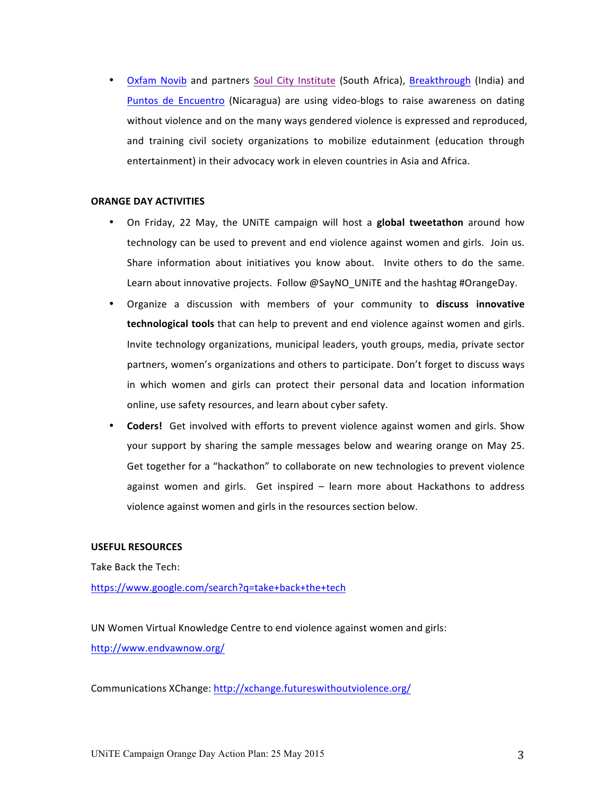• Oxfam Novib and partners Soul City Institute (South Africa), Breakthrough (India) and Puntos de Encuentro (Nicaragua) are using video-blogs to raise awareness on dating without violence and on the many ways gendered violence is expressed and reproduced, and training civil society organizations to mobilize edutainment (education through entertainment) in their advocacy work in eleven countries in Asia and Africa.

# **ORANGE DAY ACTIVITIES**

- On Friday, 22 May, the UNITE campaign will host a **global tweetathon** around how technology can be used to prevent and end violence against women and girls. Join us. Share information about initiatives you know about. Invite others to do the same. Learn about innovative projects. Follow @SayNO\_UNiTE and the hashtag #OrangeDay.
- Organize a discussion with members of your community to **discuss innovative technological tools** that can help to prevent and end violence against women and girls. Invite technology organizations, municipal leaders, youth groups, media, private sector partners, women's organizations and others to participate. Don't forget to discuss ways in which women and girls can protect their personal data and location information online, use safety resources, and learn about cyber safety.
- **Coders!** Get involved with efforts to prevent violence against women and girls. Show your support by sharing the sample messages below and wearing orange on May 25. Get together for a "hackathon" to collaborate on new technologies to prevent violence against women and girls. Get inspired – learn more about Hackathons to address violence against women and girls in the resources section below.

# **USEFUL RESOURCES**

Take Back the Tech:

https://www.google.com/search?q=take+back+the+tech

UN Women Virtual Knowledge Centre to end violence against women and girls: http://www.endvawnow.org/

Communications XChange: http://xchange.futureswithoutviolence.org/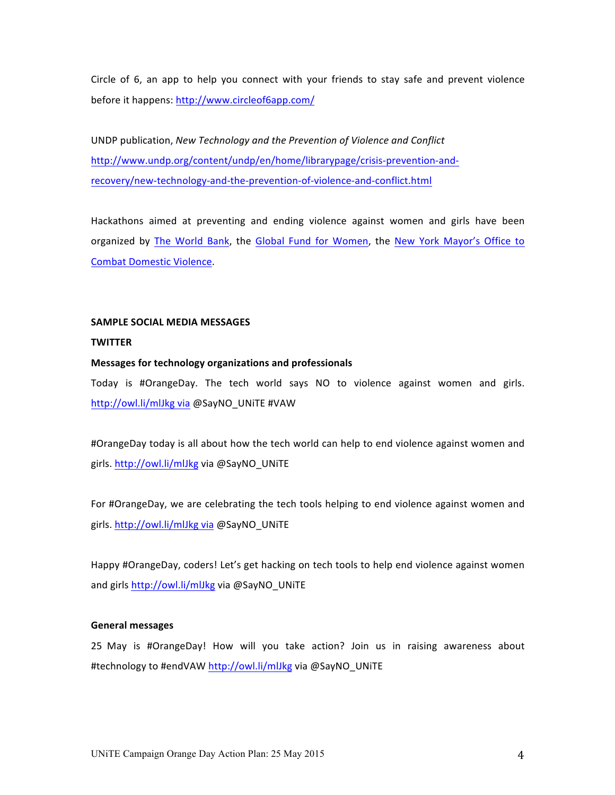Circle of 6, an app to help you connect with your friends to stay safe and prevent violence before it happens: http://www.circleof6app.com/

UNDP publication, *New Technology and the Prevention of Violence and Conflict* http://www.undp.org/content/undp/en/home/librarypage/crisis-prevention-andrecovery/new-technology-and-the-prevention-of-violence-and-conflict.html

Hackathons aimed at preventing and ending violence against women and girls have been organized by The World Bank, the Global Fund for Women, the New York Mayor's Office to Combat Domestic Violence.

#### **SAMPLE'SOCIAL'MEDIA'MESSAGES**

# **TWITTER**

### **Messages'for'technology'organizations'and professionals**

Today is #OrangeDay. The tech world says NO to violence against women and girls. http://owl.li/mlJkg via @SayNO\_UNiTE #VAW

#OrangeDay today is all about how the tech world can help to end violence against women and girls. http://owl.li/mlJkg via @SayNO\_UNiTE

For #OrangeDay, we are celebrating the tech tools helping to end violence against women and girls. http://owl.li/mlJkg via @SayNO\_UNiTE

Happy #OrangeDay, coders! Let's get hacking on tech tools to help end violence against women and girls http://owl.li/mlJkg via @SayNO\_UNiTE

# **General'messages**

25 May is #OrangeDay! How will you take action? Join us in raising awareness about #technology to #endVAW http://owl.li/mlJkg via @SayNO\_UNiTE